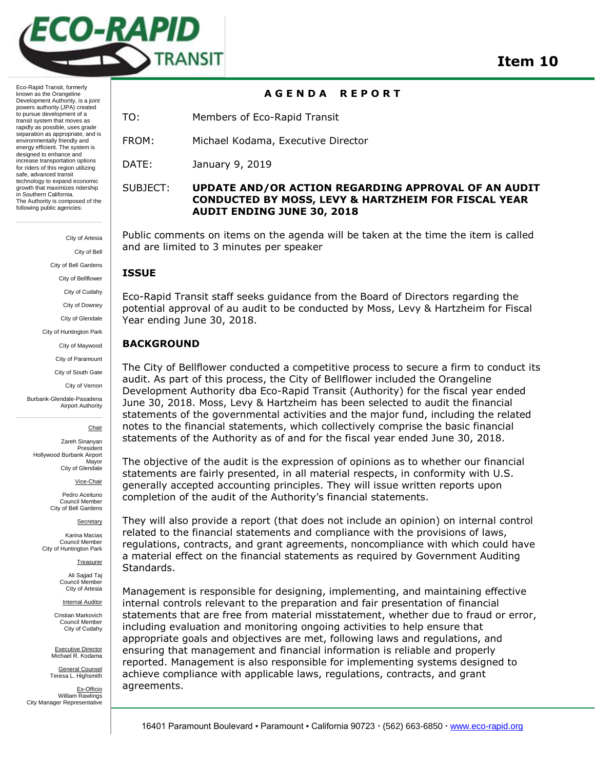

Eco-Rapid Transit, formerly known as the Orangeline Development Authority, is a joint powers authority (JPA) created to pursue development of a transit system that moves as rapidly as possible, uses grade separation as appropriate, and is environmentally friendly and energy efficient. The system is designed to enhance and increase transportation options for riders of this region utilizing safe, advanced transit technology to expand economic growth that maximizes ridership in Southern California. The Authority is composed of the following public agencies:

> City of Artesia City of Bell City of Bell Gardens City of Bellflower City of Cudahy City of Downey City of Glendale City of Huntington Park City of Maywood City of Paramount

> > City of South Gate City of Vernon

Burbank-Glendale-Pasadena Airport Authority

Chair

Zareh Sinanyan President Hollywood Burbank Airport Mayor City of Glendale

Vice-Chair

Pedro Aceituno Council Member City of Bell Gardens

**Secretary** 

Karina Macias Council Member City of Huntington Park

Treasurer

Ali Sajjad Taj Council Member City of Artesia

Internal Auditor

Cristian Markovich Council Member City of Cudahy

Executive Director Michael R. Kodama

General Counsel

Teresa L. Highsmith Ex-Officio William Rawlings City Manager Representative

# **A G E N D A R E P O R T**

TO: Members of Eco-Rapid Transit

FROM: Michael Kodama, Executive Director

DATE: January 9, 2019

# SUBJECT: **UPDATE AND/OR ACTION REGARDING APPROVAL OF AN AUDIT CONDUCTED BY MOSS, LEVY & HARTZHEIM FOR FISCAL YEAR AUDIT ENDING JUNE 30, 2018**

Public comments on items on the agenda will be taken at the time the item is called and are limited to 3 minutes per speaker

## **ISSUE**

Eco-Rapid Transit staff seeks guidance from the Board of Directors regarding the potential approval of au audit to be conducted by Moss, Levy & Hartzheim for Fiscal Year ending June 30, 2018.

# **BACKGROUND**

The City of Bellflower conducted a competitive process to secure a firm to conduct its audit. As part of this process, the City of Bellflower included the Orangeline Development Authority dba Eco-Rapid Transit (Authority) for the fiscal year ended June 30, 2018. Moss, Levy & Hartzheim has been selected to audit the financial statements of the governmental activities and the major fund, including the related notes to the financial statements, which collectively comprise the basic financial statements of the Authority as of and for the fiscal year ended June 30, 2018.

The objective of the audit is the expression of opinions as to whether our financial statements are fairly presented, in all material respects, in conformity with U.S. generally accepted accounting principles. They will issue written reports upon completion of the audit of the Authority's financial statements.

They will also provide a report (that does not include an opinion) on internal control related to the financial statements and compliance with the provisions of laws, regulations, contracts, and grant agreements, noncompliance with which could have a material effect on the financial statements as required by Government Auditing Standards.

Management is responsible for designing, implementing, and maintaining effective internal controls relevant to the preparation and fair presentation of financial statements that are free from material misstatement, whether due to fraud or error, including evaluation and monitoring ongoing activities to help ensure that appropriate goals and objectives are met, following laws and regulations, and ensuring that management and financial information is reliable and properly reported. Management is also responsible for implementing systems designed to achieve compliance with applicable laws, regulations, contracts, and grant agreements.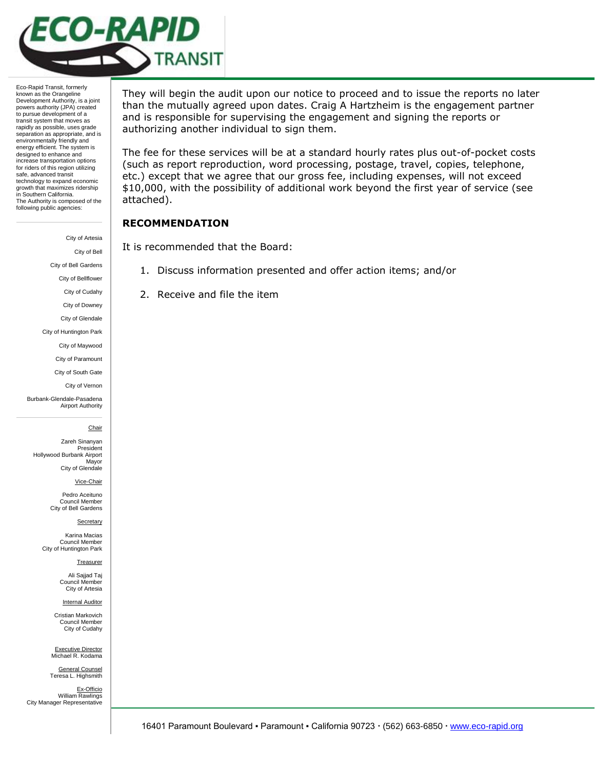

Eco-Rapid Transit, formerly known as the Orangeline Development Authority, is a joint powers authority (JPA) created to pursue development of a transit system that moves as rapidly as possible, uses grade separation as appropriate, and is environmentally friendly and energy efficient. The system is designed to enhance and increase transportation options for riders of this region utilizing safe, advanced transit technology to expand economic growth that maximizes ridership in Southern California. The Authority is composed of the following public agencies:

City of Artesia

City of Bell

City of Bell Gardens

City of Bellflower

City of Cudahy

City of Downey

City of Glendale

City of Huntington Park

City of Maywood City of Paramount

City of South Gate

City of Vernon

Burbank-Glendale-Pasadena Airport Authority

Chair

Zareh Sinanyan President Hollywood Burbank Airport Mayor City of Glendale

Vice-Chair

Pedro Aceituno Council Member City of Bell Gardens

**Secretary** 

Karina Macias Council Member City of Huntington Park

Treasurer

Ali Sajjad Taj Council Member City of Artesia

Internal Auditor

Cristian Markovich Council Member City of Cudahy

Executive Director Michael R. Kodama General Counsel

Teresa L. Highsmith Ex-Officio William Rawlings City Manager Representative They will begin the audit upon our notice to proceed and to issue the reports no later than the mutually agreed upon dates. Craig A Hartzheim is the engagement partner and is responsible for supervising the engagement and signing the reports or authorizing another individual to sign them.

The fee for these services will be at a standard hourly rates plus out-of-pocket costs (such as report reproduction, word processing, postage, travel, copies, telephone, etc.) except that we agree that our gross fee, including expenses, will not exceed \$10,000, with the possibility of additional work beyond the first year of service (see attached).

## **RECOMMENDATION**

It is recommended that the Board:

- 1. Discuss information presented and offer action items; and/or
- 2. Receive and file the item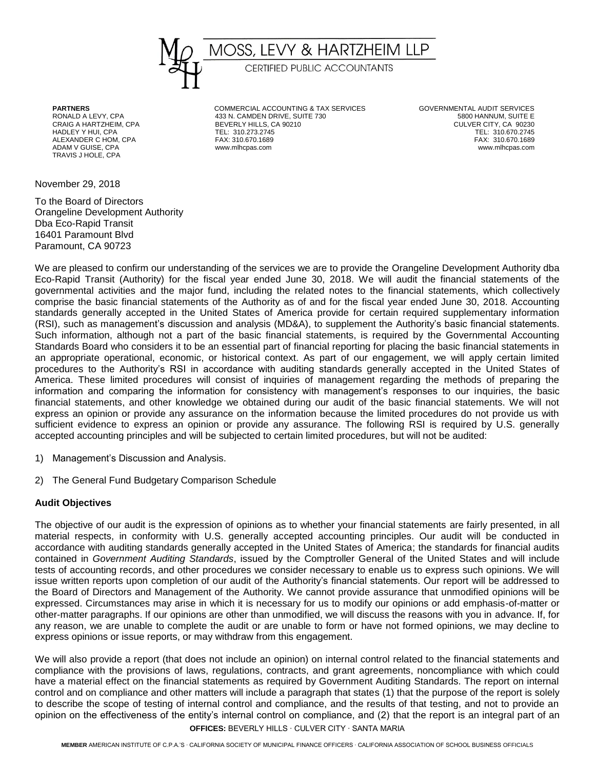

TRAVIS J HOLE, CPA

November 29, 2018

To the Board of Directors Orangeline Development Authority Dba Eco-Rapid Transit 16401 Paramount Blvd Paramount, CA 90723

**PARTNERS** COMMERCIAL ACCOUNTING & TAX SERVICES GOVERNMENTAL AUDIT SERVICES RONALD A LEVY, CPA 433 N. CAMDEN DRIVE, SUITE 730 5800 HANNUM, SUITE E BEVERLY HILLS, CA 90210 HADLEY Y HUI, CPA TEL: 310.273.2745<br>ALEXANDER C.HOM CPA TEL: 310.070.2745 TEL: 310.070.2745 TEL: 310.070.2745 ALEXANDER C HOM, CPA FAX: 310.670.1689 FAX: 310.670.1689 FAX: 310.670.1689 FAX: 310.670.1689 FAX: 310.670.1689<br>ADAM V GUISE. CPA www.mlhcpas.com www.mlhcpas.com www.mlhcpas.com www.mlhcpas.com ADAM V GUISE, CPA www.mlhcpas.com www.mlhcpas.com

We are pleased to confirm our understanding of the services we are to provide the Orangeline Development Authority dba Eco-Rapid Transit (Authority) for the fiscal year ended June 30, 2018. We will audit the financial statements of the governmental activities and the major fund, including the related notes to the financial statements, which collectively comprise the basic financial statements of the Authority as of and for the fiscal year ended June 30, 2018. Accounting standards generally accepted in the United States of America provide for certain required supplementary information (RSI), such as management's discussion and analysis (MD&A), to supplement the Authority's basic financial statements. Such information, although not a part of the basic financial statements, is required by the Governmental Accounting Standards Board who considers it to be an essential part of financial reporting for placing the basic financial statements in an appropriate operational, economic, or historical context. As part of our engagement, we will apply certain limited procedures to the Authority's RSI in accordance with auditing standards generally accepted in the United States of America. These limited procedures will consist of inquiries of management regarding the methods of preparing the information and comparing the information for consistency with management's responses to our inquiries, the basic financial statements, and other knowledge we obtained during our audit of the basic financial statements. We will not express an opinion or provide any assurance on the information because the limited procedures do not provide us with sufficient evidence to express an opinion or provide any assurance. The following RSI is required by U.S. generally accepted accounting principles and will be subjected to certain limited procedures, but will not be audited:

- 1) Management's Discussion and Analysis.
- 2) The General Fund Budgetary Comparison Schedule

## **Audit Objectives**

The objective of our audit is the expression of opinions as to whether your financial statements are fairly presented, in all material respects, in conformity with U.S. generally accepted accounting principles. Our audit will be conducted in accordance with auditing standards generally accepted in the United States of America; the standards for financial audits contained in *Government Auditing Standards*, issued by the Comptroller General of the United States and will include tests of accounting records, and other procedures we consider necessary to enable us to express such opinions. We will issue written reports upon completion of our audit of the Authority's financial statements. Our report will be addressed to the Board of Directors and Management of the Authority. We cannot provide assurance that unmodified opinions will be expressed. Circumstances may arise in which it is necessary for us to modify our opinions or add emphasis-of-matter or other-matter paragraphs. If our opinions are other than unmodified, we will discuss the reasons with you in advance. If, for any reason, we are unable to complete the audit or are unable to form or have not formed opinions, we may decline to express opinions or issue reports, or may withdraw from this engagement.

We will also provide a report (that does not include an opinion) on internal control related to the financial statements and compliance with the provisions of laws, regulations, contracts, and grant agreements, noncompliance with which could have a material effect on the financial statements as required by Government Auditing Standards. The report on internal control and on compliance and other matters will include a paragraph that states (1) that the purpose of the report is solely to describe the scope of testing of internal control and compliance, and the results of that testing, and not to provide an opinion on the effectiveness of the entity's internal control on compliance, and (2) that the report is an integral part of an

**OFFICES:** BEVERLY HILLS ∙ CULVER CITY ∙ SANTA MARIA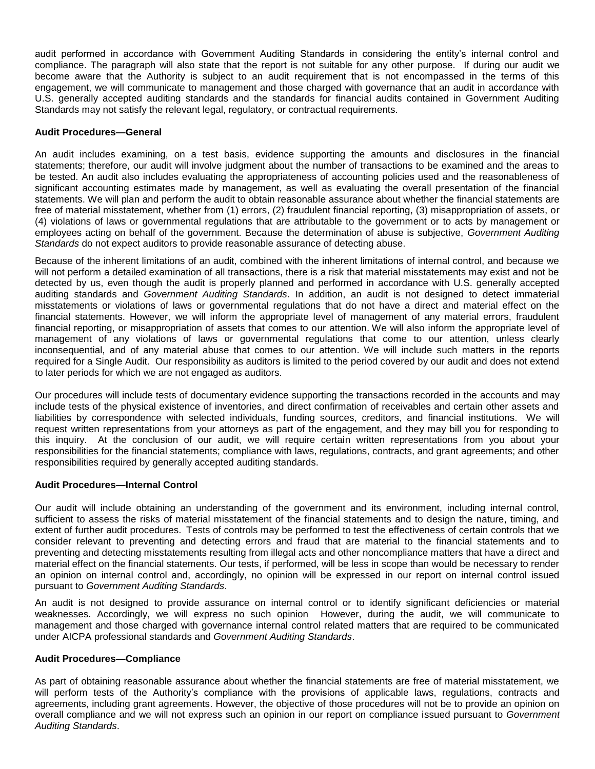audit performed in accordance with Government Auditing Standards in considering the entity's internal control and compliance. The paragraph will also state that the report is not suitable for any other purpose. If during our audit we become aware that the Authority is subject to an audit requirement that is not encompassed in the terms of this engagement, we will communicate to management and those charged with governance that an audit in accordance with U.S. generally accepted auditing standards and the standards for financial audits contained in Government Auditing Standards may not satisfy the relevant legal, regulatory, or contractual requirements.

## **Audit Procedures—General**

An audit includes examining, on a test basis, evidence supporting the amounts and disclosures in the financial statements; therefore, our audit will involve judgment about the number of transactions to be examined and the areas to be tested. An audit also includes evaluating the appropriateness of accounting policies used and the reasonableness of significant accounting estimates made by management, as well as evaluating the overall presentation of the financial statements. We will plan and perform the audit to obtain reasonable assurance about whether the financial statements are free of material misstatement, whether from (1) errors, (2) fraudulent financial reporting, (3) misappropriation of assets, or (4) violations of laws or governmental regulations that are attributable to the government or to acts by management or employees acting on behalf of the government. Because the determination of abuse is subjective, *Government Auditing Standards* do not expect auditors to provide reasonable assurance of detecting abuse.

Because of the inherent limitations of an audit, combined with the inherent limitations of internal control, and because we will not perform a detailed examination of all transactions, there is a risk that material misstatements may exist and not be detected by us, even though the audit is properly planned and performed in accordance with U.S. generally accepted auditing standards and *Government Auditing Standards*. In addition, an audit is not designed to detect immaterial misstatements or violations of laws or governmental regulations that do not have a direct and material effect on the financial statements. However, we will inform the appropriate level of management of any material errors, fraudulent financial reporting, or misappropriation of assets that comes to our attention. We will also inform the appropriate level of management of any violations of laws or governmental regulations that come to our attention, unless clearly inconsequential, and of any material abuse that comes to our attention. We will include such matters in the reports required for a Single Audit. Our responsibility as auditors is limited to the period covered by our audit and does not extend to later periods for which we are not engaged as auditors.

Our procedures will include tests of documentary evidence supporting the transactions recorded in the accounts and may include tests of the physical existence of inventories, and direct confirmation of receivables and certain other assets and liabilities by correspondence with selected individuals, funding sources, creditors, and financial institutions. We will request written representations from your attorneys as part of the engagement, and they may bill you for responding to this inquiry. At the conclusion of our audit, we will require certain written representations from you about your responsibilities for the financial statements; compliance with laws, regulations, contracts, and grant agreements; and other responsibilities required by generally accepted auditing standards.

## **Audit Procedures—Internal Control**

Our audit will include obtaining an understanding of the government and its environment, including internal control, sufficient to assess the risks of material misstatement of the financial statements and to design the nature, timing, and extent of further audit procedures. Tests of controls may be performed to test the effectiveness of certain controls that we consider relevant to preventing and detecting errors and fraud that are material to the financial statements and to preventing and detecting misstatements resulting from illegal acts and other noncompliance matters that have a direct and material effect on the financial statements. Our tests, if performed, will be less in scope than would be necessary to render an opinion on internal control and, accordingly, no opinion will be expressed in our report on internal control issued pursuant to *Government Auditing Standards*.

An audit is not designed to provide assurance on internal control or to identify significant deficiencies or material weaknesses. Accordingly, we will express no such opinion However, during the audit, we will communicate to management and those charged with governance internal control related matters that are required to be communicated under AICPA professional standards and *Government Auditing Standards*.

#### **Audit Procedures—Compliance**

As part of obtaining reasonable assurance about whether the financial statements are free of material misstatement, we will perform tests of the Authority's compliance with the provisions of applicable laws, regulations, contracts and agreements, including grant agreements. However, the objective of those procedures will not be to provide an opinion on overall compliance and we will not express such an opinion in our report on compliance issued pursuant to *Government Auditing Standards*.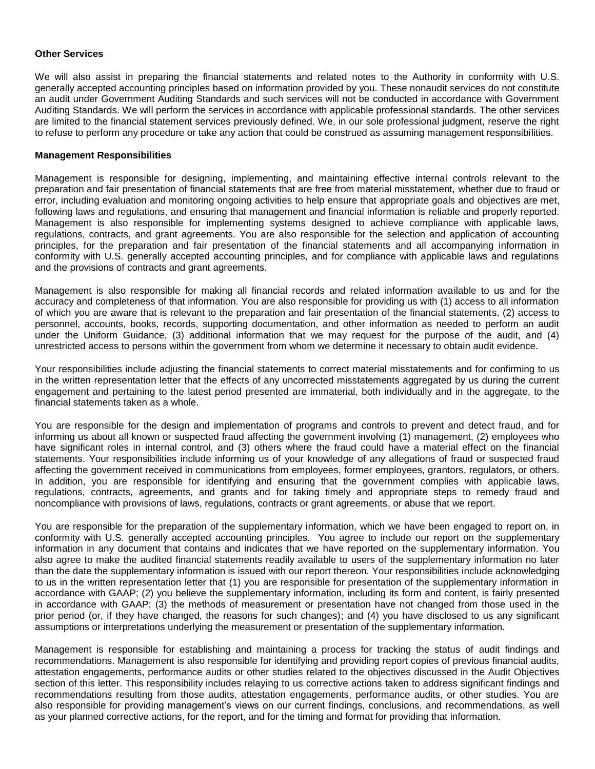#### **Other Services**

We will also assist in preparing the financial statements and related notes to the Authority in conformity with U.S. generally accepted accounting principles based on information provided by you. These nonaudit services do not constitute an audit under Government Auditing Standards and such services will not be conducted in accordance with Government Auditing Standards. We will perform the services in accordance with applicable professional standards. The other services are limited to the financial statement services previously defined. We, in our sole professional judgment, reserve the right to refuse to perform any procedure or take any action that could be construed as assuming management responsibilities.

## **Management Responsibilities**

Management is responsible for designing, implementing, and maintaining effective internal controls relevant to the preparation and fair presentation of financial statements that are free from material misstatement, whether due to fraud or error, including evaluation and monitoring ongoing activities to help ensure that appropriate goals and objectives are met, following laws and regulations, and ensuring that management and financial information is reliable and properly reported. Management is also responsible for implementing systems designed to achieve compliance with applicable laws, regulations, contracts, and grant agreements. You are also responsible for the selection and application of accounting principles, for the preparation and fair presentation of the financial statements and all accompanying information in conformity with U.S. generally accepted accounting principles, and for compliance with applicable laws and regulations and the provisions of contracts and grant agreements.

Management is also responsible for making all financial records and related information available to us and for the accuracy and completeness of that information. You are also responsible for providing us with (1) access to all information of which you are aware that is relevant to the preparation and fair presentation of the financial statements, (2) access to personnel, accounts, books, records, supporting documentation, and other information as needed to perform an audit under the Uniform Guidance, (3) additional information that we may request for the purpose of the audit, and (4) unrestricted access to persons within the government from whom we determine it necessary to obtain audit evidence.

Your responsibilities include adjusting the financial statements to correct material misstatements and for confirming to us in the written representation letter that the effects of any uncorrected misstatements aggregated by us during the current engagement and pertaining to the latest period presented are immaterial, both individually and in the aggregate, to the financial statements taken as a whole.

You are responsible for the design and implementation of programs and controls to prevent and detect fraud, and for informing us about all known or suspected fraud affecting the government involving (1) management, (2) employees who have significant roles in internal control, and (3) others where the fraud could have a material effect on the financial statements. Your responsibilities include informing us of your knowledge of any allegations of fraud or suspected fraud affecting the government received in communications from employees, former employees, grantors, regulators, or others. In addition, you are responsible for identifying and ensuring that the government complies with applicable laws, regulations, contracts, agreements, and grants and for taking timely and appropriate steps to remedy fraud and noncompliance with provisions of laws, regulations, contracts or grant agreements, or abuse that we report.

You are responsible for the preparation of the supplementary information, which we have been engaged to report on, in conformity with U.S. generally accepted accounting principles. You agree to include our report on the supplementary information in any document that contains and indicates that we have reported on the supplementary information. You also agree to make the audited financial statements readily available to users of the supplementary information no later than the date the supplementary information is issued with our report thereon. Your responsibilities include acknowledging to us in the written representation letter that (1) you are responsible for presentation of the supplementary information in accordance with GAAP; (2) you believe the supplementary information, including its form and content, is fairly presented in accordance with GAAP; (3) the methods of measurement or presentation have not changed from those used in the prior period (or, if they have changed, the reasons for such changes); and (4) you have disclosed to us any significant assumptions or interpretations underlying the measurement or presentation of the supplementary information.

Management is responsible for establishing and maintaining a process for tracking the status of audit findings and recommendations. Management is also responsible for identifying and providing report copies of previous financial audits, attestation engagements, performance audits or other studies related to the objectives discussed in the Audit Objectives section of this letter. This responsibility includes relaying to us corrective actions taken to address significant findings and recommendations resulting from those audits, attestation engagements, performance audits, or other studies. You are also responsible for providing management's views on our current findings, conclusions, and recommendations, as well as your planned corrective actions, for the report, and for the timing and format for providing that information.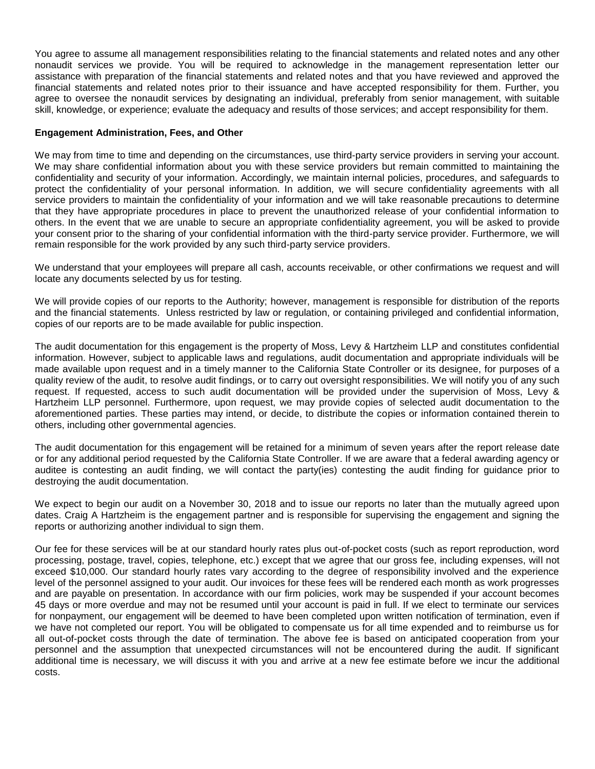You agree to assume all management responsibilities relating to the financial statements and related notes and any other nonaudit services we provide. You will be required to acknowledge in the management representation letter our assistance with preparation of the financial statements and related notes and that you have reviewed and approved the financial statements and related notes prior to their issuance and have accepted responsibility for them. Further, you agree to oversee the nonaudit services by designating an individual, preferably from senior management, with suitable skill, knowledge, or experience; evaluate the adequacy and results of those services; and accept responsibility for them.

## **Engagement Administration, Fees, and Other**

We may from time to time and depending on the circumstances, use third-party service providers in serving your account. We may share confidential information about you with these service providers but remain committed to maintaining the confidentiality and security of your information. Accordingly, we maintain internal policies, procedures, and safeguards to protect the confidentiality of your personal information. In addition, we will secure confidentiality agreements with all service providers to maintain the confidentiality of your information and we will take reasonable precautions to determine that they have appropriate procedures in place to prevent the unauthorized release of your confidential information to others. In the event that we are unable to secure an appropriate confidentiality agreement, you will be asked to provide your consent prior to the sharing of your confidential information with the third-party service provider. Furthermore, we will remain responsible for the work provided by any such third-party service providers.

We understand that your employees will prepare all cash, accounts receivable, or other confirmations we request and will locate any documents selected by us for testing.

We will provide copies of our reports to the Authority; however, management is responsible for distribution of the reports and the financial statements. Unless restricted by law or regulation, or containing privileged and confidential information, copies of our reports are to be made available for public inspection.

The audit documentation for this engagement is the property of Moss, Levy & Hartzheim LLP and constitutes confidential information. However, subject to applicable laws and regulations, audit documentation and appropriate individuals will be made available upon request and in a timely manner to the California State Controller or its designee, for purposes of a quality review of the audit, to resolve audit findings, or to carry out oversight responsibilities. We will notify you of any such request. If requested, access to such audit documentation will be provided under the supervision of Moss, Levy & Hartzheim LLP personnel. Furthermore, upon request, we may provide copies of selected audit documentation to the aforementioned parties. These parties may intend, or decide, to distribute the copies or information contained therein to others, including other governmental agencies.

The audit documentation for this engagement will be retained for a minimum of seven years after the report release date or for any additional period requested by the California State Controller. If we are aware that a federal awarding agency or auditee is contesting an audit finding, we will contact the party(ies) contesting the audit finding for guidance prior to destroying the audit documentation.

We expect to begin our audit on a November 30, 2018 and to issue our reports no later than the mutually agreed upon dates. Craig A Hartzheim is the engagement partner and is responsible for supervising the engagement and signing the reports or authorizing another individual to sign them.

Our fee for these services will be at our standard hourly rates plus out-of-pocket costs (such as report reproduction, word processing, postage, travel, copies, telephone, etc.) except that we agree that our gross fee, including expenses, will not exceed \$10,000. Our standard hourly rates vary according to the degree of responsibility involved and the experience level of the personnel assigned to your audit. Our invoices for these fees will be rendered each month as work progresses and are payable on presentation. In accordance with our firm policies, work may be suspended if your account becomes 45 days or more overdue and may not be resumed until your account is paid in full. If we elect to terminate our services for nonpayment, our engagement will be deemed to have been completed upon written notification of termination, even if we have not completed our report. You will be obligated to compensate us for all time expended and to reimburse us for all out-of-pocket costs through the date of termination. The above fee is based on anticipated cooperation from your personnel and the assumption that unexpected circumstances will not be encountered during the audit. If significant additional time is necessary, we will discuss it with you and arrive at a new fee estimate before we incur the additional costs.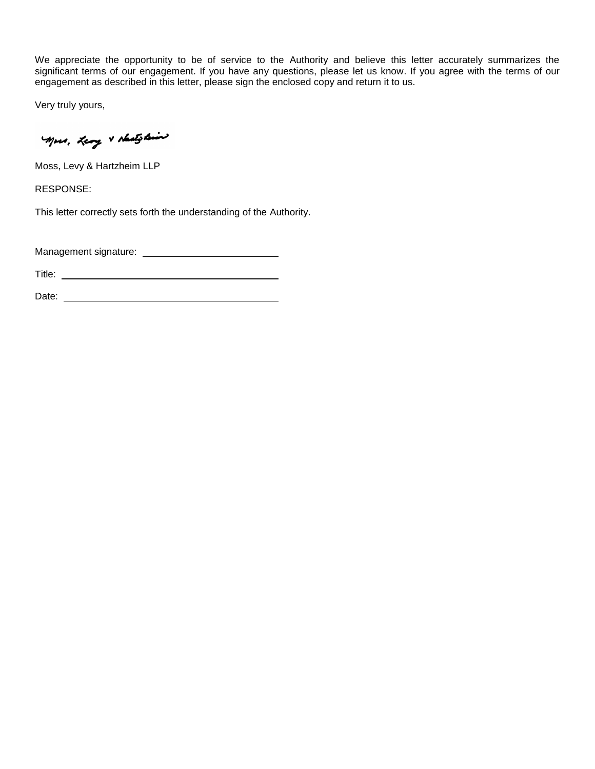We appreciate the opportunity to be of service to the Authority and believe this letter accurately summarizes the significant terms of our engagement. If you have any questions, please let us know. If you agree with the terms of our engagement as described in this letter, please sign the enclosed copy and return it to us.

Very truly yours,

Mors, Leong & Australian

Moss, Levy & Hartzheim LLP

RESPONSE:

This letter correctly sets forth the understanding of the Authority.

Management signature:

Title: **The Community of the Community of the Community of the Community of the Community of the Community of the Community of the Community of the Community of the Community of the Community of the Community of the Commun** 

Date: <u>Date:</u> 2004 Contract 2004 Contract 2004 Contract 2004 Contract 2004 Contract 2004 Contract 2004 Contract 2004 Contract 2004 Contract 2004 Contract 2004 Contract 2004 Contract 2004 Contract 2004 Contract 2004 Contrac